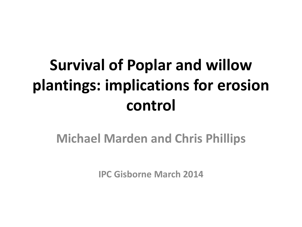# **Survival of Poplar and willow plantings: implications for erosion control**

#### **Michael Marden and Chris Phillips**

**IPC Gisborne March 2014**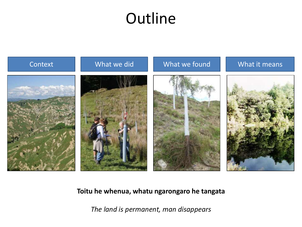### **Outline**



#### **Toitu he whenua, whatu ngarongaro he tangata**

*The land is permanent, man disappears*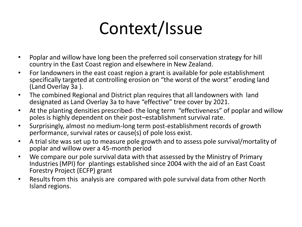# Context/Issue

- Poplar and willow have long been the preferred soil conservation strategy for hill country in the East Coast region and elsewhere in New Zealand.
- For landowners in the east coast region a grant is available for pole establishment specifically targeted at controlling erosion on "the worst of the worst" eroding land (Land Overlay 3a ).
- The combined Regional and District plan requires that all landowners with land designated as Land Overlay 3a to have "effective" tree cover by 2021.
- At the planting densities prescribed- the long term "effectiveness" of poplar and willow poles is highly dependent on their post–establishment survival rate.
- Surprisingly, almost no medium-long term post-establishment records of growth performance, survival rates or cause(s) of pole loss exist.
- A trial site was set up to measure pole growth and to assess pole survival/mortality of poplar and willow over a 45-month period
- We compare our pole survival data with that assessed by the Ministry of Primary Industries (MPI) for plantings established since 2004 with the aid of an East Coast Forestry Project (ECFP) grant
- Results from this analysis are compared with pole survival data from other North Island regions.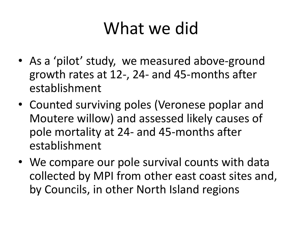# What we did

- As a 'pilot' study, we measured above-ground growth rates at 12-, 24- and 45-months after establishment
- Counted surviving poles (Veronese poplar and Moutere willow) and assessed likely causes of pole mortality at 24- and 45-months after establishment
- We compare our pole survival counts with data collected by MPI from other east coast sites and, by Councils, in other North Island regions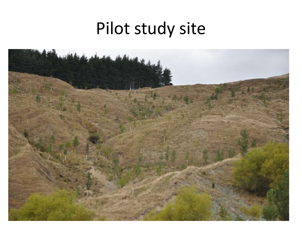# Pilot study site

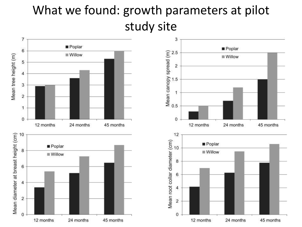#### What we found: growth parameters at pilot study site

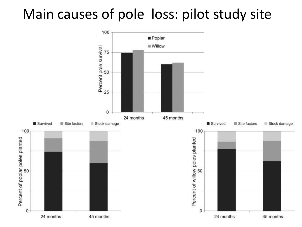### Main causes of pole loss: pilot study site

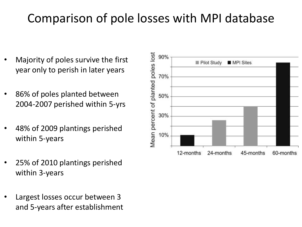#### Comparison of pole losses with MPI database

- Majority of poles survive the first year only to perish in later years
- 86% of poles planted between 2004-2007 perished within 5-yrs
- 48% of 2009 plantings perished within 5-years
- 25% of 2010 plantings perished within 3-years
- Largest losses occur between 3 and 5-years after establishment

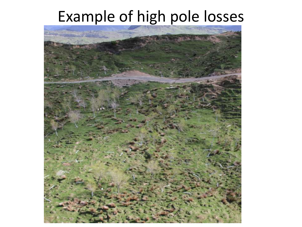### Example of high pole losses

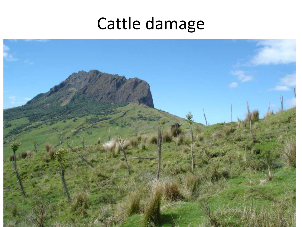### Cattle damage

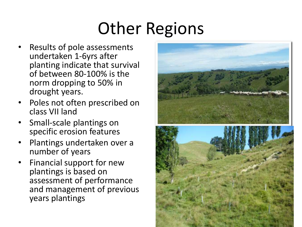# Other Regions

- Results of pole assessments undertaken 1-6yrs after planting indicate that survival of between 80-100% is the norm dropping to 50% in drought years.
- Poles not often prescribed on class VII land
- Small-scale plantings on specific erosion features
- Plantings undertaken over a number of years
- Financial support for new plantings is based on assessment of performance and management of previous years plantings

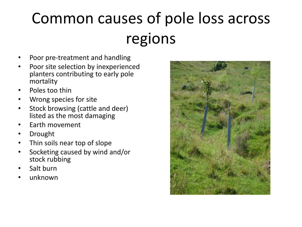# Common causes of pole loss across regions

- Poor pre-treatment and handling
- Poor site selection by inexperienced planters contributing to early pole mortality
- Poles too thin
- Wrong species for site
- Stock browsing (cattle and deer) listed as the most damaging
- Earth movement
- **Drought**
- Thin soils near top of slope
- Socketing caused by wind and/or stock rubbing
- Salt burn
- unknown

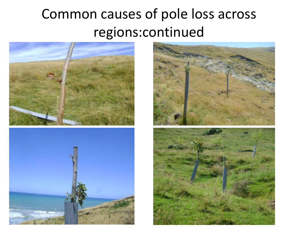### Common causes of pole loss across regions:continued





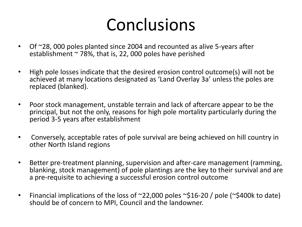# Conclusions

- Of ~28, 000 poles planted since 2004 and recounted as alive 5-years after establishment  $\sim$  78%, that is, 22, 000 poles have perished
- High pole losses indicate that the desired erosion control outcome(s) will not be achieved at many locations designated as 'Land Overlay 3a' unless the poles are replaced (blanked).
- Poor stock management, unstable terrain and lack of aftercare appear to be the principal, but not the only, reasons for high pole mortality particularly during the period 3-5 years after establishment
- Conversely, acceptable rates of pole survival are being achieved on hill country in other North Island regions
- Better pre-treatment planning, supervision and after-care management (ramming, blanking, stock management) of pole plantings are the key to their survival and are a pre-requisite to achieving a successful erosion control outcome
- Financial implications of the loss of  $\sim$ 22,000 poles  $\sim$ \$16-20 / pole ( $\sim$ \$400k to date) should be of concern to MPI, Council and the landowner.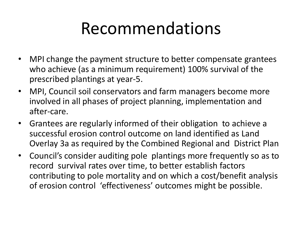### Recommendations

- MPI change the payment structure to better compensate grantees who achieve (as a minimum requirement) 100% survival of the prescribed plantings at year-5.
- MPI, Council soil conservators and farm managers become more involved in all phases of project planning, implementation and after-care.
- Grantees are regularly informed of their obligation to achieve a successful erosion control outcome on land identified as Land Overlay 3a as required by the Combined Regional and District Plan
- Council's consider auditing pole plantings more frequently so as to record survival rates over time, to better establish factors contributing to pole mortality and on which a cost/benefit analysis of erosion control 'effectiveness' outcomes might be possible.